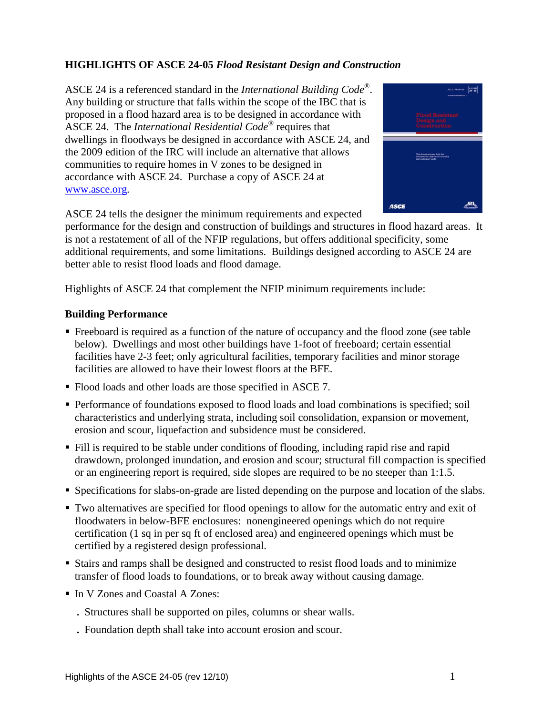# **HIGHLIGHTS OF ASCE 24-05** *Flood Resistant Design and Construction*

ASCE 24 is a referenced standard in the *International Building Code*® . Any building or structure that falls within the scope of the IBC that is proposed in a flood hazard area is to be designed in accordance with ASCE 24. The *International Residential Code*® requires that dwellings in floodways be designed in accordance with ASCE 24, and the 2009 edition of the IRC will include an alternative that allows communities to require homes in V zones to be designed in accordance with ASCE 24. Purchase a copy of ASCE 24 at [www.asce.org.](http://www.asce.org/)



ASCE 24 tells the designer the minimum requirements and expected

performance for the design and construction of buildings and structures in flood hazard areas. It is not a restatement of all of the NFIP regulations, but offers additional specificity, some additional requirements, and some limitations. Buildings designed according to ASCE 24 are better able to resist flood loads and flood damage.

Highlights of ASCE 24 that complement the NFIP minimum requirements include:

#### **Building Performance**

- Freeboard is required as a function of the nature of occupancy and the flood zone (see table below). Dwellings and most other buildings have 1-foot of freeboard; certain essential facilities have 2-3 feet; only agricultural facilities, temporary facilities and minor storage facilities are allowed to have their lowest floors at the BFE.
- Flood loads and other loads are those specified in ASCE 7.
- Performance of foundations exposed to flood loads and load combinations is specified; soil characteristics and underlying strata, including soil consolidation, expansion or movement, erosion and scour, liquefaction and subsidence must be considered.
- Fill is required to be stable under conditions of flooding, including rapid rise and rapid drawdown, prolonged inundation, and erosion and scour; structural fill compaction is specified or an engineering report is required, side slopes are required to be no steeper than 1:1.5.
- Specifications for slabs-on-grade are listed depending on the purpose and location of the slabs.
- Two alternatives are specified for flood openings to allow for the automatic entry and exit of floodwaters in below-BFE enclosures: nonengineered openings which do not require certification (1 sq in per sq ft of enclosed area) and engineered openings which must be certified by a registered design professional.
- Stairs and ramps shall be designed and constructed to resist flood loads and to minimize transfer of flood loads to foundations, or to break away without causing damage.
- In V Zones and Coastal A Zones:
	- . Structures shall be supported on piles, columns or shear walls.
	- . Foundation depth shall take into account erosion and scour.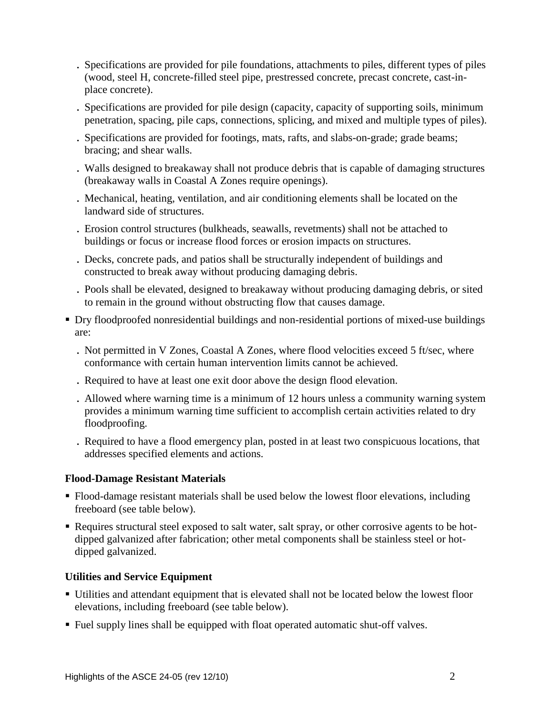- . Specifications are provided for pile foundations, attachments to piles, different types of piles (wood, steel H, concrete-filled steel pipe, prestressed concrete, precast concrete, cast-inplace concrete).
- . Specifications are provided for pile design (capacity, capacity of supporting soils, minimum penetration, spacing, pile caps, connections, splicing, and mixed and multiple types of piles).
- . Specifications are provided for footings, mats, rafts, and slabs-on-grade; grade beams; bracing; and shear walls.
- . Walls designed to breakaway shall not produce debris that is capable of damaging structures (breakaway walls in Coastal A Zones require openings).
- . Mechanical, heating, ventilation, and air conditioning elements shall be located on the landward side of structures.
- . Erosion control structures (bulkheads, seawalls, revetments) shall not be attached to buildings or focus or increase flood forces or erosion impacts on structures.
- . Decks, concrete pads, and patios shall be structurally independent of buildings and constructed to break away without producing damaging debris.
- . Pools shall be elevated, designed to breakaway without producing damaging debris, or sited to remain in the ground without obstructing flow that causes damage.
- Dry floodproofed nonresidential buildings and non-residential portions of mixed-use buildings are:
	- . Not permitted in V Zones, Coastal A Zones, where flood velocities exceed 5 ft/sec, where conformance with certain human intervention limits cannot be achieved.
	- . Required to have at least one exit door above the design flood elevation.
	- . Allowed where warning time is a minimum of 12 hours unless a community warning system provides a minimum warning time sufficient to accomplish certain activities related to dry floodproofing.
	- . Required to have a flood emergency plan, posted in at least two conspicuous locations, that addresses specified elements and actions.

# **Flood-Damage Resistant Materials**

- Flood-damage resistant materials shall be used below the lowest floor elevations, including freeboard (see table below).
- Requires structural steel exposed to salt water, salt spray, or other corrosive agents to be hotdipped galvanized after fabrication; other metal components shall be stainless steel or hotdipped galvanized.

# **Utilities and Service Equipment**

- Utilities and attendant equipment that is elevated shall not be located below the lowest floor elevations, including freeboard (see table below).
- Fuel supply lines shall be equipped with float operated automatic shut-off valves.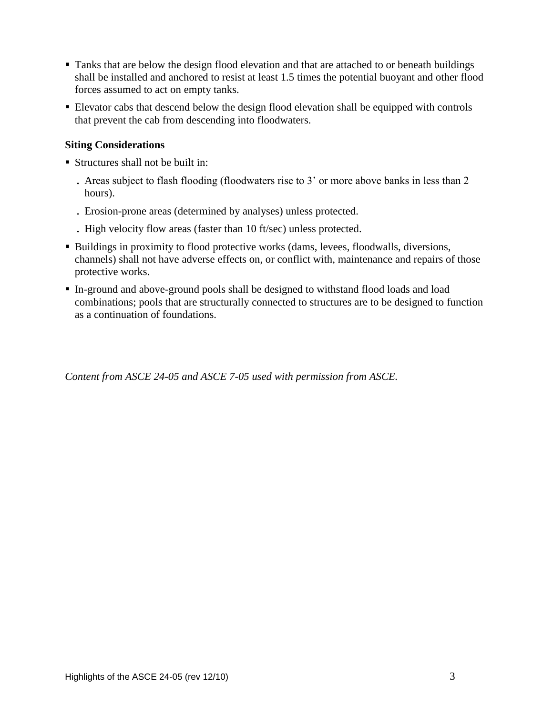- Tanks that are below the design flood elevation and that are attached to or beneath buildings shall be installed and anchored to resist at least 1.5 times the potential buoyant and other flood forces assumed to act on empty tanks.
- Elevator cabs that descend below the design flood elevation shall be equipped with controls that prevent the cab from descending into floodwaters.

### **Siting Considerations**

- Structures shall not be built in:
	- . Areas subject to flash flooding (floodwaters rise to 3' or more above banks in less than 2 hours).
	- . Erosion-prone areas (determined by analyses) unless protected.
	- . High velocity flow areas (faster than 10 ft/sec) unless protected.
- **Buildings in proximity to flood protective works (dams, levees, floodwalls, diversions,** channels) shall not have adverse effects on, or conflict with, maintenance and repairs of those protective works.
- In-ground and above-ground pools shall be designed to withstand flood loads and load combinations; pools that are structurally connected to structures are to be designed to function as a continuation of foundations.

*Content from ASCE 24-05 and ASCE 7-05 used with permission from ASCE.*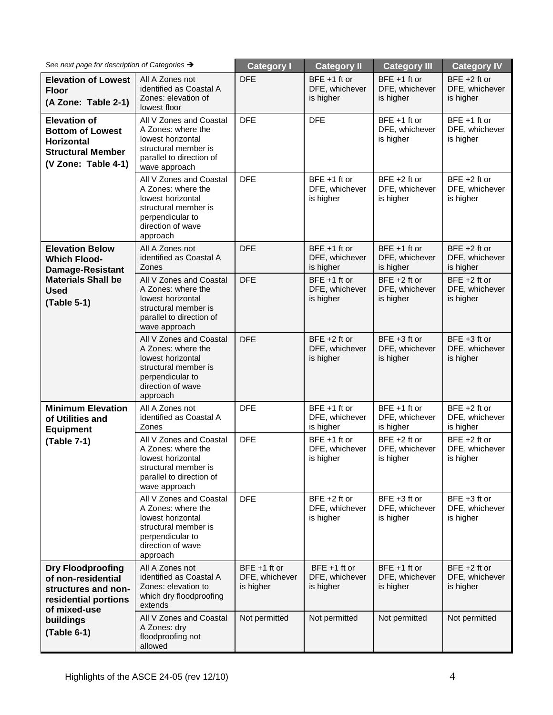| See next page for description of Categories $\rightarrow$                                                                                 |                                                                                                                                                 | <b>Category I</b>                              | <b>Category II</b>                             | <b>Category III</b>                            | <b>Category IV</b>                             |
|-------------------------------------------------------------------------------------------------------------------------------------------|-------------------------------------------------------------------------------------------------------------------------------------------------|------------------------------------------------|------------------------------------------------|------------------------------------------------|------------------------------------------------|
| <b>Elevation of Lowest</b><br><b>Floor</b><br>(A Zone: Table 2-1)                                                                         | All A Zones not<br>identified as Coastal A<br>Zones: elevation of<br>lowest floor                                                               | <b>DFE</b>                                     | $BFE + 1$ ft or<br>DFE, whichever<br>is higher | $BFE + 1$ ft or<br>DFE, whichever<br>is higher | $BFE + 2 ft$ or<br>DFE, whichever<br>is higher |
| <b>Elevation of</b><br><b>Bottom of Lowest</b><br><b>Horizontal</b><br><b>Structural Member</b><br>(V Zone: Table 4-1)                    | All V Zones and Coastal<br>A Zones: where the<br>lowest horizontal<br>structural member is<br>parallel to direction of<br>wave approach         | <b>DFE</b>                                     | <b>DFE</b>                                     | $BFE + 1$ ft or<br>DFE, whichever<br>is higher | $BFE + 1$ ft or<br>DFE, whichever<br>is higher |
|                                                                                                                                           | All V Zones and Coastal<br>A Zones: where the<br>lowest horizontal<br>structural member is<br>perpendicular to<br>direction of wave<br>approach | <b>DFE</b>                                     | $BFE + 1$ ft or<br>DFE, whichever<br>is higher | $BFE + 2 ft$ or<br>DFE, whichever<br>is higher | $BFE + 2 ft$ or<br>DFE, whichever<br>is higher |
| <b>Elevation Below</b><br><b>Which Flood-</b><br><b>Damage-Resistant</b><br><b>Materials Shall be</b><br><b>Used</b><br>(Table 5-1)       | All A Zones not<br>identified as Coastal A<br>Zones                                                                                             | <b>DFE</b>                                     | $BFE + 1$ ft or<br>DFE, whichever<br>is higher | BFE +1 ft or<br>DFE, whichever<br>is higher    | BFE $+2$ ft or<br>DFE, whichever<br>is higher  |
|                                                                                                                                           | All V Zones and Coastal<br>A Zones: where the<br>lowest horizontal<br>structural member is<br>parallel to direction of<br>wave approach         | <b>DFE</b>                                     | $BFE + 1$ ft or<br>DFE, whichever<br>is higher | $BFE + 2 ft$ or<br>DFE, whichever<br>is higher | $BFE + 2 ft$ or<br>DFE, whichever<br>is higher |
|                                                                                                                                           | All V Zones and Coastal<br>A Zones: where the<br>lowest horizontal<br>structural member is<br>perpendicular to<br>direction of wave<br>approach | <b>DFE</b>                                     | $BFE + 2 ft$ or<br>DFE, whichever<br>is higher | $BFE + 3 ft$ or<br>DFE, whichever<br>is higher | BFE $+3$ ft or<br>DFE, whichever<br>is higher  |
| <b>Minimum Elevation</b><br>of Utilities and<br><b>Equipment</b><br>(Table 7-1)                                                           | All A Zones not<br>identified as Coastal A<br>Zones                                                                                             | <b>DFE</b>                                     | $BFE + 1$ ft or<br>DFE, whichever<br>is higher | $BFE + 1$ ft or<br>DFE, whichever<br>is higher | BFE $+2$ ft or<br>DFE, whichever<br>is higher  |
|                                                                                                                                           | All V Zones and Coastal<br>A Zones: where the<br>lowest horizontal<br>structural member is<br>parallel to direction of<br>wave approach         | <b>DFE</b>                                     | $BFE + 1$ ft or<br>DFE, whichever<br>is higher | $BFE + 2 ft$ or<br>DFE, whichever<br>is higher | $BFE + 2 ft$ or<br>DFE, whichever<br>is higher |
|                                                                                                                                           | All V Zones and Coastal<br>A Zones: where the<br>lowest horizontal<br>structural member is<br>perpendicular to<br>direction of wave<br>approach | <b>DFE</b>                                     | $BFE + 2 ft$ or<br>DFE, whichever<br>is higher | BFE +3 ft or<br>DFE, whichever<br>is higher    | BFE +3 ft or<br>DFE, whichever<br>is higher    |
| <b>Dry Floodproofing</b><br>of non-residential<br>structures and non-<br>residential portions<br>of mixed-use<br>buildings<br>(Table 6-1) | All A Zones not<br>identified as Coastal A<br>Zones: elevation to<br>which dry floodproofing<br>extends                                         | $BFE + 1$ ft or<br>DFE, whichever<br>is higher | $BFE + 1$ ft or<br>DFE, whichever<br>is higher | $BFE + 1$ ft or<br>DFE, whichever<br>is higher | $BFE + 2 ft$ or<br>DFE, whichever<br>is higher |
|                                                                                                                                           | All V Zones and Coastal<br>A Zones: dry<br>floodproofing not<br>allowed                                                                         | Not permitted                                  | Not permitted                                  | Not permitted                                  | Not permitted                                  |